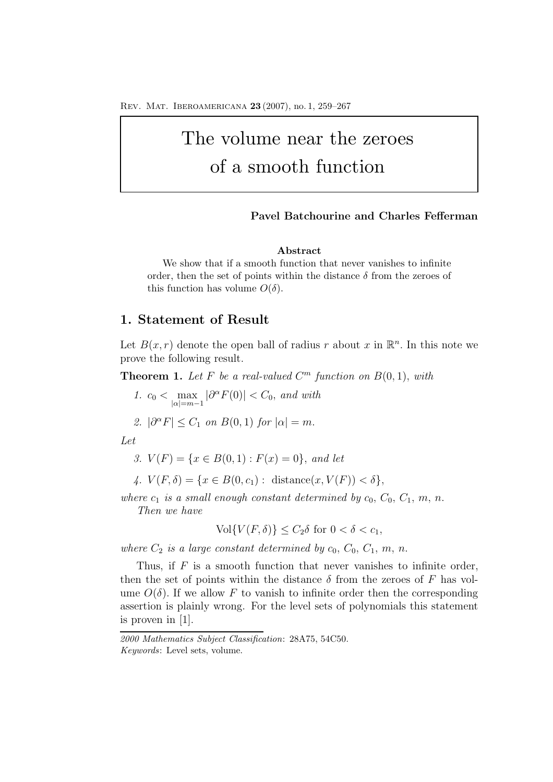Rev. Mat. Iberoamericana **23** (2007), no. 1, 259–267

# The volume near the zeroes of a smooth function

#### **Pavel Batchourine and Charles Fefferman**

#### **Abstract**

We show that if a smooth function that never vanishes to infinite order, then the set of points within the distance  $\delta$  from the zeroes of this function has volume  $O(\delta)$ .

# **1. Statement of Result**

Let  $B(x, r)$  denote the open ball of radius r about x in  $\mathbb{R}^n$ . In this note we prove the following result.

**Theorem 1.** Let F be a real-valued  $C^m$  function on  $B(0,1)$ , with

*1.*  $c_0 < \max$  $|\alpha|=m-1$  $|\partial^{\alpha} F(0)| < C_0$ , and with

2. 
$$
|\partial^{\alpha} F| \leq C_1 \text{ on } B(0,1) \text{ for } |\alpha| = m.
$$

*Let*

- *3.*  $V(F) = \{x \in B(0,1) : F(x) = 0\}$ , and let
- *4.*  $V(F, \delta) = \{x \in B(0, c_1) : \text{distance}(x, V(F)) < \delta\},$

*where*  $c_1$  *is a small enough constant determined by*  $c_0$ ,  $C_0$ ,  $C_1$ ,  $m$ ,  $n$ . *Then we have*

 $\text{Vol}\{V(F,\delta)\}\leq C_2\delta$  for  $0<\delta< c_1$ ,

where  $C_2$  *is a large constant determined by*  $c_0$ ,  $C_0$ ,  $C_1$ ,  $m$ ,  $n$ .

Thus, if  $F$  is a smooth function that never vanishes to infinite order, then the set of points within the distance  $\delta$  from the zeroes of F has volume  $O(\delta)$ . If we allow F to vanish to infinite order then the corresponding assertion is plainly wrong. For the level sets of polynomials this statement is proven in  $|1|$ .

*<sup>2000</sup> Mathematics Subject Classification*: 28A75, 54C50. *Keywords*: Level sets, volume.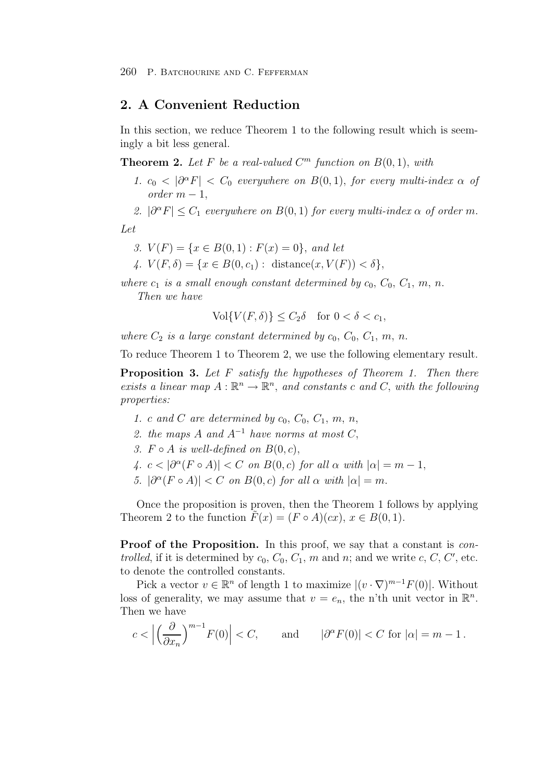## **2. A Convenient Reduction**

In this section, we reduce Theorem 1 to the following result which is seemingly a bit less general.

**Theorem 2.** Let F be a real-valued  $C^m$  function on  $B(0, 1)$ , with

- *1.*  $c_0 < |\partial^{\alpha} F| < C_0$  *everywhere on*  $B(0,1)$ , *for every multi-index*  $\alpha$  *of*  $order~m-1$ .
- 2.  $|\partial^{\alpha} F| \leq C_1$  *everywhere on*  $B(0,1)$  *for every multi-index*  $\alpha$  *of order* m.

*Let*

- 3.  $V(F) = \{x \in B(0,1) : F(x) = 0\}$ , and let
- 4.  $V(F, \delta) = \{x \in B(0, c_1) : \text{distance}(x, V(F)) < \delta\},\$

*where*  $c_1$  *is a small enough constant determined by*  $c_0$ ,  $C_0$ ,  $C_1$ ,  $m$ ,  $n$ . *Then we have*

$$
\text{Vol}\{V(F,\delta)\} \le C_2 \delta \quad \text{for } 0 < \delta < c_1,
$$

where  $C_2$  *is a large constant determined by*  $c_0$ ,  $C_0$ ,  $C_1$ ,  $m$ ,  $n$ .

To reduce Theorem 1 to Theorem 2, we use the following elementary result.

**Proposition 3.** *Let* F *satisfy the hypotheses of Theorem 1. Then there exists a linear map*  $A : \mathbb{R}^n \to \mathbb{R}^n$ , *and constants* c *and* C, *with the following properties:*

- *1.* c and C are determined by  $c_0$ ,  $C_0$ ,  $C_1$ ,  $m$ ,  $n$ ,
- *2. the maps* A *and* A−<sup>1</sup> *have norms at most* C,
- *3.*  $F ∘ A$  *is well-defined on*  $B(0, c)$ ,
- *4.*  $c < |\partial^{\alpha}(F \circ A)| < C$  *on*  $B(0, c)$  *for all*  $\alpha$  *with*  $|\alpha| = m 1$ ,
- *5.*  $|\partial^{\alpha}(F \circ A)| < C$  *on*  $B(0, c)$  *for all*  $\alpha$  *with*  $|\alpha| = m$ *.*

Once the proposition is proven, then the Theorem 1 follows by applying Theorem 2 to the function  $F(x)=(F \circ A)(cx), x \in B(0,1).$ 

**Proof of the Proposition.** In this proof, we say that a constant is *controlled*, if it is determined by  $c_0$ ,  $C_0$ ,  $C_1$ ,  $m$  and  $n$ ; and we write  $c$ ,  $C$ ,  $C'$ , etc. to denote the controlled constants.

Pick a vector  $v \in \mathbb{R}^n$  of length 1 to maximize  $|(v \cdot \nabla)^{m-1} F(0)|$ . Without loss of generality, we may assume that  $v = e_n$ , the n'th unit vector in  $\mathbb{R}^n$ . Then we have

$$
c < \left| \left( \frac{\partial}{\partial x_n} \right)^{m-1} F(0) \right| < C, \quad \text{and} \quad |\partial^{\alpha} F(0)| < C \text{ for } |\alpha| = m - 1.
$$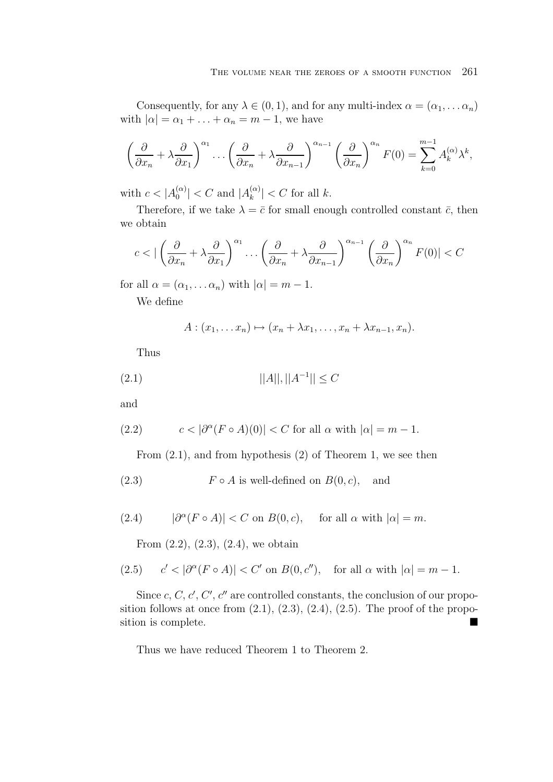Consequently, for any  $\lambda \in (0,1)$ , and for any multi-index  $\alpha = (\alpha_1, \dots \alpha_n)$ with  $|\alpha| = \alpha_1 + \ldots + \alpha_n = m - 1$ , we have

$$
\left(\frac{\partial}{\partial x_n} + \lambda \frac{\partial}{\partial x_1}\right)^{\alpha_1} \dots \left(\frac{\partial}{\partial x_n} + \lambda \frac{\partial}{\partial x_{n-1}}\right)^{\alpha_{n-1}} \left(\frac{\partial}{\partial x_n}\right)^{\alpha_n} F(0) = \sum_{k=0}^{m-1} A_k^{(\alpha)} \lambda^k,
$$

with  $c < |A_0^{(\alpha)}| < C$  and  $|A_k^{(\alpha)}| < C$  for all k.

Therefore, if we take  $\lambda = \bar{c}$  for small enough controlled constant  $\bar{c}$ , then we obtain

$$
c < | \left( \frac{\partial}{\partial x_n} + \lambda \frac{\partial}{\partial x_1} \right)^{\alpha_1} \dots \left( \frac{\partial}{\partial x_n} + \lambda \frac{\partial}{\partial x_{n-1}} \right)^{\alpha_{n-1}} \left( \frac{\partial}{\partial x_n} \right)^{\alpha_n} F(0) | < C
$$

for all  $\alpha = (\alpha_1, \ldots \alpha_n)$  with  $|\alpha| = m - 1$ .

We define

$$
A:(x_1,\ldots,x_n)\mapsto (x_n+\lambda x_1,\ldots,x_n+\lambda x_{n-1},x_n).
$$

Thus

$$
(2.1) \t\t ||A||, ||A^{-1}|| \le C
$$

and

(2.2) 
$$
c < |\partial^{\alpha}(F \circ A)(0)| < C \text{ for all } \alpha \text{ with } |\alpha| = m - 1.
$$

From (2.1), and from hypothesis (2) of Theorem 1, we see then

(2.3) 
$$
F \circ A
$$
 is well-defined on  $B(0, c)$ , and

(2.4) 
$$
|\partial^{\alpha}(F \circ A)| < C \text{ on } B(0, c), \quad \text{ for all } \alpha \text{ with } |\alpha| = m.
$$

From  $(2.2)$ ,  $(2.3)$ ,  $(2.4)$ , we obtain

(2.5) 
$$
c' < |\partial^{\alpha}(F \circ A)| < C'
$$
 on  $B(0, c'')$ , for all  $\alpha$  with  $|\alpha| = m - 1$ .

Since  $c, C, c', C', c''$  are controlled constants, the conclusion of our proposition follows at once from  $(2.1)$ ,  $(2.3)$ ,  $(2.4)$ ,  $(2.5)$ . The proof of the proposition is complete.

Thus we have reduced Theorem 1 to Theorem 2.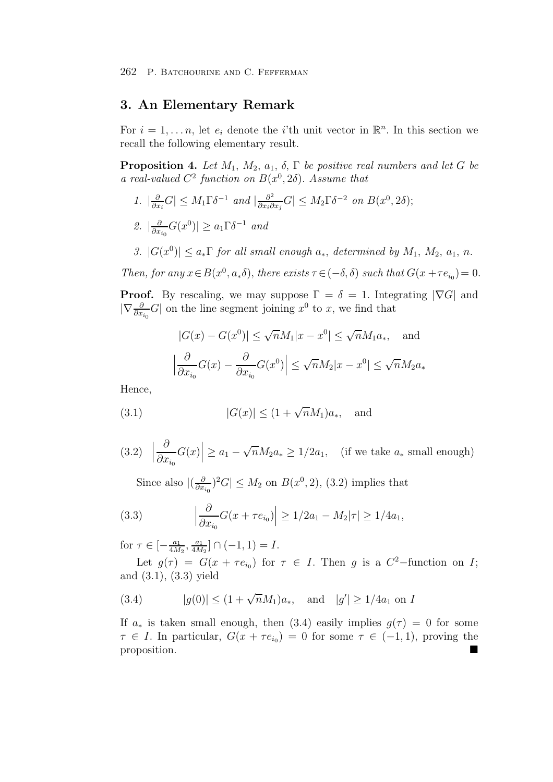262 P. Batchourine and C. Fefferman

## **3. An Elementary Remark**

For  $i = 1, \ldots n$ , let  $e_i$  denote the *i*'th unit vector in  $\mathbb{R}^n$ . In this section we recall the following elementary result.

**Proposition 4.** *Let*  $M_1$ ,  $M_2$ ,  $a_1$ ,  $\delta$ ,  $\Gamma$  *be positive real numbers and let*  $G$  *be a real-valued*  $C^2$  *function on*  $B(x^0, 2\delta)$ *. Assume that* 

- *1.*  $|\frac{\partial}{\partial x_i}G| \leq M_1 \Gamma \delta^{-1}$  *and*  $|\frac{\partial^2}{\partial x_i \partial x_j}G| \leq M_2 \Gamma \delta^{-2}$  *on*  $B(x^0, 2\delta)$ ;
- 2.  $\left| \frac{\partial}{\partial x_{i_0}} G(x^0) \right| \ge a_1 \Gamma \delta^{-1}$  *and*
- *3.*  $|G(x^0)| \le a_* \Gamma$  *for all small enough*  $a_*$ *, determined by*  $M_1$ *,*  $M_2$ *, a<sub>1</sub>, n*.

*Then, for any*  $x \in B(x^0, a_*\delta)$ , *there exists*  $\tau \in (-\delta, \delta)$  *such that*  $G(x + \tau e_{i_0}) = 0$ .

**Proof.** By rescaling, we may suppose  $\Gamma = \delta = 1$ . Integrating  $|\nabla G|$  and  $|\nabla \frac{\partial}{\partial x_{i_0}} G|$  on the line segment joining  $x^0$  to x, we find that

$$
|G(x) - G(x^0)| \le \sqrt{n}M_1|x - x^0| \le \sqrt{n}M_1a_*, \text{ and}
$$

$$
\left|\frac{\partial}{\partial x_{i_0}}G(x) - \frac{\partial}{\partial x_{i_0}}G(x^0)\right| \le \sqrt{n}M_2|x - x^0| \le \sqrt{n}M_2a_*
$$

Hence,

(3.1) 
$$
|G(x)| \le (1 + \sqrt{n}M_1)a_*,
$$
 and

(3.2) 
$$
\left| \frac{\partial}{\partial x_{i_0}} G(x) \right| \ge a_1 - \sqrt{n} M_2 a_* \ge 1/2a_1
$$
, (if we take  $a_*$  small enough)

Since also  $|(\frac{\partial}{\partial x_{i_0}})^2 G| \leq M_2$  on  $B(x^0, 2)$ , (3.2) implies that

(3.3) 
$$
\left| \frac{\partial}{\partial x_{i_0}} G(x + \tau e_{i_0}) \right| \ge 1/2a_1 - M_2 |\tau| \ge 1/4a_1,
$$

for  $\tau \in \left[ -\frac{a_1}{4M_2}, \frac{a_1}{4M_2} \right] \cap (-1, 1) = I.$ 

Let  $g(\tau) = G(x + \tau e_{i_0})$  for  $\tau \in I$ . Then g is a  $C^2$ -function on I; and (3.1), (3.3) yield

(3.4) 
$$
|g(0)| \le (1 + \sqrt{n}M_1)a_*,
$$
 and  $|g'| \ge 1/4a_1$  on I

If  $a_*$  is taken small enough, then (3.4) easily implies  $g(\tau) = 0$  for some  $\tau \in I$ . In particular,  $G(x + \tau e_{i_0}) = 0$  for some  $\tau \in (-1, 1)$ , proving the proposition.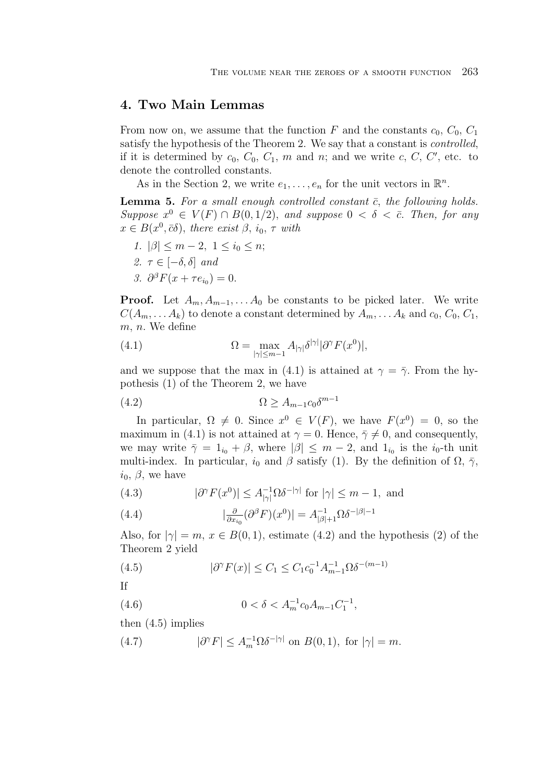## **4. Two Main Lemmas**

From now on, we assume that the function F and the constants  $c_0$ ,  $C_0$ ,  $C_1$ satisfy the hypothesis of the Theorem 2. We say that a constant is *controlled*, if it is determined by  $c_0$ ,  $C_0$ ,  $C_1$ ,  $m$  and  $n$ ; and we write  $c$ ,  $C$ ,  $C'$ , etc. to denote the controlled constants.

As in the Section 2, we write  $e_1, \ldots, e_n$  for the unit vectors in  $\mathbb{R}^n$ .

**Lemma 5.** For a small enough controlled constant  $\bar{c}$ , the following holds.  $Suppose x^0 \in V(F) \cap B(0,1/2)$ , and suppose  $0 < \delta < \overline{c}$ . Then, for any  $x \in B(x^0, \bar{c}\delta)$ , *there exist*  $\beta$ ,  $i_0, \tau$  *with* 

1. 
$$
|\beta| \le m - 2
$$
,  $1 \le i_0 \le n$ ;  
\n2.  $\tau \in [-\delta, \delta]$  and  
\n3.  $\partial^{\beta} F(x + \tau e_{i_0}) = 0$ .

**Proof.** Let  $A_m, A_{m-1}, \ldots, A_0$  be constants to be picked later. We write  $C(A_m, \ldots, A_k)$  to denote a constant determined by  $A_m, \ldots, A_k$  and  $c_0, C_0, C_1$ ,  $m, n$ . We define

(4.1) 
$$
\Omega = \max_{|\gamma| \le m-1} A_{|\gamma|} \delta^{|\gamma|} |\partial^{\gamma} F(x^0)|,
$$

and we suppose that the max in (4.1) is attained at  $\gamma = \overline{\gamma}$ . From the hypothesis (1) of the Theorem 2, we have

$$
(4.2) \t\t\t \t\t \Omega \ge A_{m-1}c_0\delta^{m-1}
$$

In particular,  $\Omega \neq 0$ . Since  $x^0 \in V(F)$ , we have  $F(x^0)=0$ , so the maximum in (4.1) is not attained at  $\gamma = 0$ . Hence,  $\bar{\gamma} \neq 0$ , and consequently, we may write  $\bar{\gamma} = 1_{i_0} + \beta$ , where  $|\beta| \leq m - 2$ , and  $1_{i_0}$  is the  $i_0$ -th unit multi-index. In particular,  $i_0$  and  $\beta$  satisfy (1). By the definition of  $\Omega$ ,  $\bar{\gamma}$ ,  $i_0, \beta$ , we have

(4.3) 
$$
|\partial^{\gamma} F(x^0)| \leq A_{|\gamma|}^{-1} \Omega \delta^{-|\gamma|} \text{ for } |\gamma| \leq m-1, \text{ and}
$$

(4.4) 
$$
|\frac{\partial}{\partial x_{i_0}}(\partial^{\beta} F)(x^0)| = A_{|\beta|+1}^{-1} \Omega \delta^{-|\beta|-1}
$$

Also, for  $|\gamma| = m$ ,  $x \in B(0, 1)$ , estimate (4.2) and the hypothesis (2) of the Theorem 2 yield

(4.5) 
$$
|\partial^{\gamma} F(x)| \leq C_1 \leq C_1 c_0^{-1} A_{m-1}^{-1} \Omega \delta^{-(m-1)}
$$

If

(4.6) 
$$
0 < \delta < A_m^{-1} c_0 A_{m-1} C_1^{-1},
$$

then (4.5) implies

(4.7)  $|\partial^{\gamma} F| \leq A_m^{-1} \Omega \delta^{-|\gamma|}$  on  $B(0, 1)$ , for  $|\gamma| = m$ .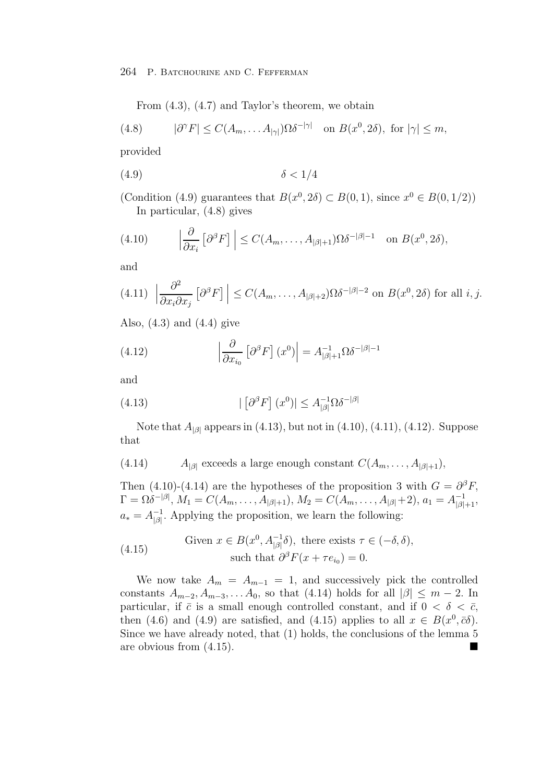264 P. Batchourine and C. Fefferman

From (4.3), (4.7) and Taylor's theorem, we obtain

(4.8) 
$$
|\partial^{\gamma} F| \leq C(A_m, \dots A_{|\gamma|}) \Omega \delta^{-|\gamma|} \text{ on } B(x^0, 2\delta), \text{ for } |\gamma| \leq m,
$$

provided

$$
(4.9) \t\t\t \delta < 1/4
$$

(Condition (4.9) guarantees that  $B(x^0, 2\delta) \subset B(0, 1)$ , since  $x^0 \in B(0, 1/2)$ ) In particular, (4.8) gives

(4.10) 
$$
\left|\frac{\partial}{\partial x_i} \left[\partial^{\beta} F\right]\right| \leq C(A_m, \dots, A_{|\beta|+1}) \Omega \delta^{-|\beta|-1} \text{ on } B(x^0, 2\delta),
$$

and

$$
(4.11) \left| \frac{\partial^2}{\partial x_i \partial x_j} \left[ \partial^{\beta} F \right] \right| \le C(A_m, \dots, A_{|\beta|+2}) \Omega \delta^{-|\beta|-2} \text{ on } B(x^0, 2\delta) \text{ for all } i, j.
$$

Also,  $(4.3)$  and  $(4.4)$  give

(4.12) 
$$
\left| \frac{\partial}{\partial x_{i_0}} \left[ \partial^{\beta} F \right] (x^0) \right| = A_{|\beta|+1}^{-1} \Omega \delta^{-|\beta|-1}
$$

and

(4.13) 
$$
|\left[\partial^{\beta}F\right](x^0)| \leq A_{|\beta|}^{-1}\Omega \delta^{-|\beta|}
$$

Note that  $A_{|\beta|}$  appears in (4.13), but not in (4.10), (4.11), (4.12). Suppose that

(4.14) 
$$
A_{|\beta|}
$$
 exceeds a large enough constant  $C(A_m, \ldots, A_{|\beta|+1})$ ,

Then (4.10)-(4.14) are the hypotheses of the proposition 3 with  $G = \partial^{\beta} F$ ,  $\Gamma = \Omega \delta^{-|\beta|}, M_1 = C(A_m, \ldots, A_{|\beta|+1}), M_2 = C(A_m, \ldots, A_{|\beta|} + 2), a_1 = A_{|\beta|+1}^{-1},$  $a_* = A_{\beta}^{-1}$ . Applying the proposition, we learn the following:

(4.15) Given 
$$
x \in B(x^0, A_{|\beta|}^{-1}\delta)
$$
, there exists  $\tau \in (-\delta, \delta)$ ,  
such that  $\partial^{\beta} F(x + \tau e_{i_0}) = 0$ .

We now take  $A_m = A_{m-1} = 1$ , and successively pick the controlled constants  $A_{m-2}, A_{m-3}, \ldots, A_0$ , so that (4.14) holds for all  $|\beta| \leq m-2$ . In particular, if  $\bar{c}$  is a small enough controlled constant, and if  $0 < \delta < \bar{c}$ , then (4.6) and (4.9) are satisfied, and (4.15) applies to all  $x \in B(x^0, \bar{c}\delta)$ . Since we have already noted, that (1) holds, the conclusions of the lemma 5 are obvious from (4.15).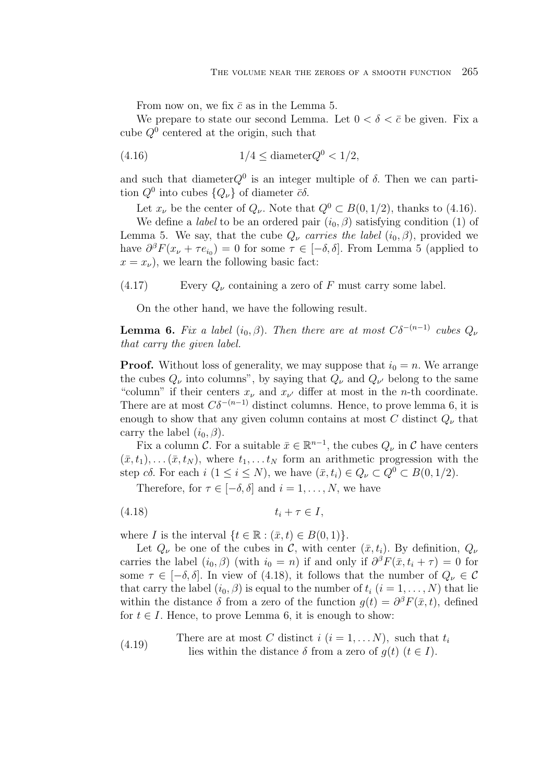From now on, we fix  $\bar{c}$  as in the Lemma 5.

We prepare to state our second Lemma. Let  $0 < \delta < \bar{c}$  be given. Fix a cube  $Q^0$  centered at the origin, such that

$$
(4.16) \t1/4 \leq \text{diameter}Q^0 < 1/2,
$$

and such that diameter $Q^0$  is an integer multiple of  $\delta$ . Then we can partition  $Q^0$  into cubes  $\{Q_\nu\}$  of diameter  $\bar{c}\delta$ .

Let  $x_{\nu}$  be the center of  $Q_{\nu}$ . Note that  $Q^0 \subset B(0, 1/2)$ , thanks to (4.16).

We define a *label* to be an ordered pair  $(i_0, \beta)$  satisfying condition (1) of Lemma 5. We say, that the cube  $Q_{\nu}$  *carries the label*  $(i_0, \beta)$ , provided we have  $\partial^{\beta}F(x_{\nu} + \tau e_{i_0}) = 0$  for some  $\tau \in [-\delta, \delta]$ . From Lemma 5 (applied to  $x = x_{\nu}$ , we learn the following basic fact:

(4.17) Every  $Q_{\nu}$  containing a zero of F must carry some label.

On the other hand, we have the following result.

**Lemma 6.** *Fix a label*  $(i_0, \beta)$ . *Then there are at most*  $C\delta^{-(n-1)}$  *cubes*  $Q_{\nu}$ *that carry the given label.*

**Proof.** Without loss of generality, we may suppose that  $i_0 = n$ . We arrange the cubes  $Q_{\nu}$  into columns", by saying that  $Q_{\nu}$  and  $Q_{\nu'}$  belong to the same "column" if their centers  $x_{\nu}$  and  $x_{\nu'}$  differ at most in the *n*-th coordinate. There are at most  $C\delta^{-(n-1)}$  distinct columns. Hence, to prove lemma 6, it is enough to show that any given column contains at most C distinct  $Q_{\nu}$  that carry the label  $(i_0, \beta)$ .

Fix a column C. For a suitable  $\bar{x} \in \mathbb{R}^{n-1}$ , the cubes  $Q_{\nu}$  in C have centers  $(\bar{x}, t_1), \ldots (\bar{x}, t_N)$ , where  $t_1, \ldots t_N$  form an arithmetic progression with the step cδ. For each  $i$   $(1 \leq i \leq N)$ , we have  $(\bar{x}, t_i) \in Q_{\nu} \subset Q^0 \subset B(0, 1/2)$ .

Therefore, for  $\tau \in [-\delta, \delta]$  and  $i = 1, \ldots, N$ , we have

$$
(4.18) \t t_i + \tau \in I,
$$

where I is the interval  $\{t \in \mathbb{R} : (\bar{x}, t) \in B(0, 1)\}.$ 

Let  $Q_{\nu}$  be one of the cubes in C, with center  $(\bar{x}, t_i)$ . By definition,  $Q_{\nu}$ carries the label  $(i_0, \beta)$  (with  $i_0 = n$ ) if and only if  $\partial^{\beta} F(\bar{x}, t_i + \tau) = 0$  for some  $\tau \in [-\delta, \delta]$ . In view of (4.18), it follows that the number of  $Q_{\nu} \in \mathcal{C}$ that carry the label  $(i_0, \beta)$  is equal to the number of  $t_i$   $(i = 1, \ldots, N)$  that lie within the distance  $\delta$  from a zero of the function  $q(t) = \partial^{\beta} F(\bar{x}, t)$ , defined for  $t \in I$ . Hence, to prove Lemma 6, it is enough to show:

(4.19) There are at most C distinct  $i$   $(i = 1, \ldots N)$ , such that  $t_i$ lies within the distance  $\delta$  from a zero of  $q(t)$   $(t \in I)$ .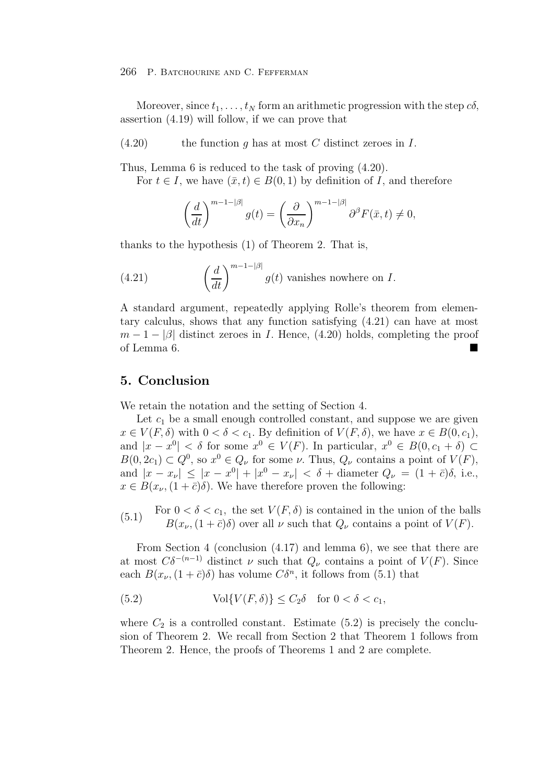#### 266 P. Batchourine and C. Fefferman

Moreover, since  $t_1,\ldots,t_N$  form an arithmetic progression with the step  $c\delta$ , assertion (4.19) will follow, if we can prove that

 $(4.20)$  the function q has at most C distinct zeroes in I.

Thus, Lemma 6 is reduced to the task of proving (4.20).

For  $t \in I$ , we have  $(\bar{x}, t) \in B(0, 1)$  by definition of I, and therefore

$$
\left(\frac{d}{dt}\right)^{m-1-|\beta|}g(t) = \left(\frac{\partial}{\partial x_n}\right)^{m-1-|\beta|}\partial^{\beta}F(\bar{x},t) \neq 0,
$$

thanks to the hypothesis (1) of Theorem 2. That is,

(4.21) 
$$
\left(\frac{d}{dt}\right)^{m-1-|\beta|} g(t) \text{ vanishes nowhere on } I.
$$

A standard argument, repeatedly applying Rolle's theorem from elementary calculus, shows that any function satisfying (4.21) can have at most  $m-1-|\beta|$  distinct zeroes in I. Hence, (4.20) holds, completing the proof of Lemma 6.

## **5. Conclusion**

We retain the notation and the setting of Section 4.

Let  $c_1$  be a small enough controlled constant, and suppose we are given  $x \in V(F, \delta)$  with  $0 < \delta < c_1$ . By definition of  $V(F, \delta)$ , we have  $x \in B(0, c_1)$ , and  $|x - x^0| < \delta$  for some  $x^0 \in V(F)$ . In particular,  $x^0 \in B(0, c_1 + \delta)$  $B(0, 2c_1) \subset Q^0$ , so  $x^0 \in Q_\nu$  for some  $\nu$ . Thus,  $Q_\nu$  contains a point of  $V(F)$ , and  $|x - x_{\nu}| \leq |x - x^0| + |x^0 - x_{\nu}| < \delta + \text{diameter } Q_{\nu} = (1 + \bar{c})\delta, \text{ i.e.,}$  $x \in B(x_{\nu}, (1+\bar{c})\delta)$ . We have therefore proven the following:

(5.1) For  $0 < \delta < c_1$ , the set  $V(F, \delta)$  is contained in the union of the balls  $B(x_{\nu},(1+\bar{c})\delta)$  over all  $\nu$  such that  $Q_{\nu}$  contains a point of  $V(F)$ .

From Section 4 (conclusion (4.17) and lemma 6), we see that there are at most  $C\delta^{-(n-1)}$  distinct  $\nu$  such that  $Q_{\nu}$  contains a point of  $V(F)$ . Since each  $B(x_{\nu},(1+\bar{c})\delta)$  has volume  $C\delta^{n}$ , it follows from (5.1) that

(5.2) 
$$
\text{Vol}\{V(F,\delta)\} \leq C_2 \delta \quad \text{for } 0 < \delta < c_1,
$$

where  $C_2$  is a controlled constant. Estimate (5.2) is precisely the conclusion of Theorem 2. We recall from Section 2 that Theorem 1 follows from Theorem 2. Hence, the proofs of Theorems 1 and 2 are complete.